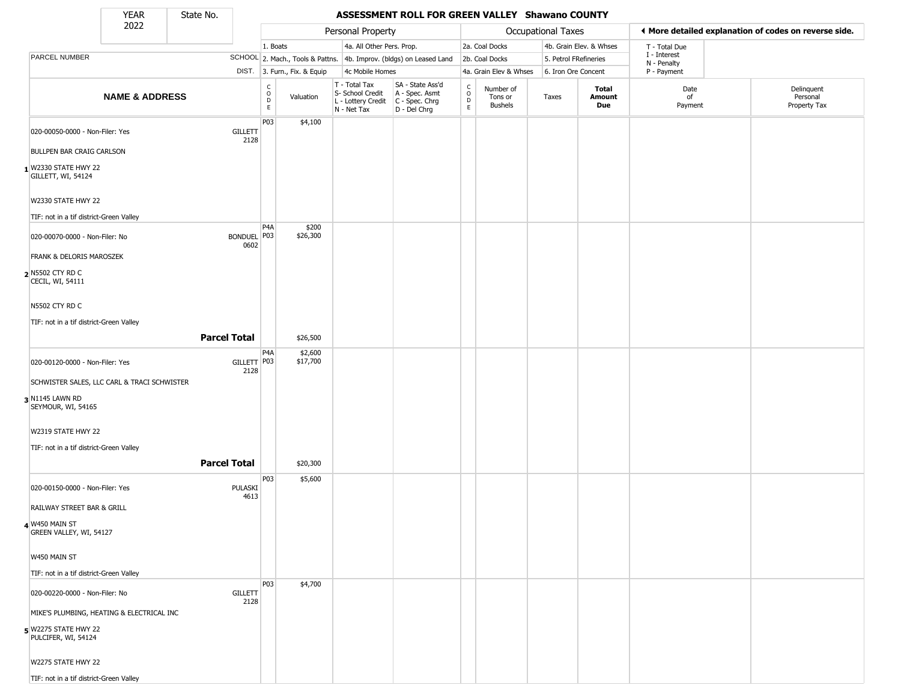State No.

Г

#### YEAR State No. **ASSESSMENT ROLL FOR GREEN VALLEY Shawano COUNTY**

|                                             | .<br>2022                                   | -------<br>Personal Property                    |                              |                                                                        |                                                                          |                                                                    | <b>Occupational Taxes</b>                                       |                     | ♦ More detailed explanation of codes on reverse side. |                            |                                        |               |  |
|---------------------------------------------|---------------------------------------------|-------------------------------------------------|------------------------------|------------------------------------------------------------------------|--------------------------------------------------------------------------|--------------------------------------------------------------------|-----------------------------------------------------------------|---------------------|-------------------------------------------------------|----------------------------|----------------------------------------|---------------|--|
|                                             |                                             |                                                 |                              | 1. Boats                                                               |                                                                          |                                                                    | 4a. All Other Pers. Prop.<br>4b. Improv. (bldgs) on Leased Land |                     | 2a. Coal Docks                                        |                            | 4b. Grain Elev. & Whses                | T - Total Due |  |
| PARCEL NUMBER                               |                                             |                                                 |                              |                                                                        | SCHOOL 2. Mach., Tools & Pattns.                                         |                                                                    |                                                                 |                     | 2b. Coal Docks                                        | 5. Petrol FRefineries      |                                        | I - Interest  |  |
|                                             |                                             |                                                 | DIST. 3. Furn., Fix. & Equip | 4c Mobile Homes                                                        |                                                                          |                                                                    | 4a. Grain Elev & Whses                                          | 6. Iron Ore Concent |                                                       | N - Penalty<br>P - Payment |                                        |               |  |
| <b>NAME &amp; ADDRESS</b>                   |                                             | $\begin{array}{c} C \\ O \\ D \\ E \end{array}$ | Valuation                    | T - Total Tax<br>S- School Credit<br>L - Lottery Credit<br>N - Net Tax | SA - State Ass'd<br>A - Spec. Asmt<br>$C - Spec. Chrg$<br>$D - Del Chrg$ | $\begin{smallmatrix} C \\ 0 \\ D \end{smallmatrix}$<br>$\mathsf E$ | Number of<br>Tons or<br><b>Bushels</b>                          | Taxes               | Total<br>Amount<br>Due                                | Date<br>of<br>Payment      | Delinquent<br>Personal<br>Property Tax |               |  |
| 020-00050-0000 - Non-Filer: Yes             |                                             |                                                 | <b>GILLETT</b><br>2128       | P03                                                                    | \$4,100                                                                  |                                                                    |                                                                 |                     |                                                       |                            |                                        |               |  |
| <b>BULLPEN BAR CRAIG CARLSON</b>            |                                             |                                                 |                              |                                                                        |                                                                          |                                                                    |                                                                 |                     |                                                       |                            |                                        |               |  |
| 1 W2330 STATE HWY 22<br>GILLETT, WI, 54124  |                                             |                                                 |                              |                                                                        |                                                                          |                                                                    |                                                                 |                     |                                                       |                            |                                        |               |  |
| W2330 STATE HWY 22                          |                                             |                                                 |                              |                                                                        |                                                                          |                                                                    |                                                                 |                     |                                                       |                            |                                        |               |  |
| TIF: not in a tif district-Green Valley     |                                             |                                                 |                              | P <sub>4</sub> A                                                       | \$200                                                                    |                                                                    |                                                                 |                     |                                                       |                            |                                        |               |  |
| 020-00070-0000 - Non-Filer: No              |                                             |                                                 | BONDUEL P03<br>0602          |                                                                        | \$26,300                                                                 |                                                                    |                                                                 |                     |                                                       |                            |                                        |               |  |
| <b>FRANK &amp; DELORIS MAROSZEK</b>         |                                             |                                                 |                              |                                                                        |                                                                          |                                                                    |                                                                 |                     |                                                       |                            |                                        |               |  |
| 2 N5502 CTY RD C<br>CECIL, WI, 54111        |                                             |                                                 |                              |                                                                        |                                                                          |                                                                    |                                                                 |                     |                                                       |                            |                                        |               |  |
| N5502 CTY RD C                              |                                             |                                                 |                              |                                                                        |                                                                          |                                                                    |                                                                 |                     |                                                       |                            |                                        |               |  |
| TIF: not in a tif district-Green Valley     |                                             |                                                 |                              |                                                                        |                                                                          |                                                                    |                                                                 |                     |                                                       |                            |                                        |               |  |
|                                             |                                             |                                                 | <b>Parcel Total</b>          |                                                                        | \$26,500                                                                 |                                                                    |                                                                 |                     |                                                       |                            |                                        |               |  |
| 020-00120-0000 - Non-Filer: Yes             |                                             |                                                 | GILLETT   P03<br>2128        | P <sub>4</sub> A                                                       | \$2,600<br>\$17,700                                                      |                                                                    |                                                                 |                     |                                                       |                            |                                        |               |  |
|                                             | SCHWISTER SALES, LLC CARL & TRACI SCHWISTER |                                                 |                              |                                                                        |                                                                          |                                                                    |                                                                 |                     |                                                       |                            |                                        |               |  |
| 3 N1145 LAWN RD<br>SEYMOUR, WI, 54165       |                                             |                                                 |                              |                                                                        |                                                                          |                                                                    |                                                                 |                     |                                                       |                            |                                        |               |  |
| W2319 STATE HWY 22                          |                                             |                                                 |                              |                                                                        |                                                                          |                                                                    |                                                                 |                     |                                                       |                            |                                        |               |  |
| TIF: not in a tif district-Green Valley     |                                             |                                                 |                              |                                                                        |                                                                          |                                                                    |                                                                 |                     |                                                       |                            |                                        |               |  |
|                                             |                                             |                                                 | <b>Parcel Total</b>          |                                                                        | \$20,300                                                                 |                                                                    |                                                                 |                     |                                                       |                            |                                        |               |  |
| 020-00150-0000 - Non-Filer: Yes             |                                             |                                                 | PULASKI                      | P03                                                                    | \$5,600                                                                  |                                                                    |                                                                 |                     |                                                       |                            |                                        |               |  |
| RAILWAY STREET BAR & GRILL                  |                                             |                                                 | 4613                         |                                                                        |                                                                          |                                                                    |                                                                 |                     |                                                       |                            |                                        |               |  |
| 4 W450 MAIN ST<br>GREEN VALLEY, WI, 54127   |                                             |                                                 |                              |                                                                        |                                                                          |                                                                    |                                                                 |                     |                                                       |                            |                                        |               |  |
| W450 MAIN ST                                |                                             |                                                 |                              |                                                                        |                                                                          |                                                                    |                                                                 |                     |                                                       |                            |                                        |               |  |
| TIF: not in a tif district-Green Valley     |                                             |                                                 |                              |                                                                        |                                                                          |                                                                    |                                                                 |                     |                                                       |                            |                                        |               |  |
| 020-00220-0000 - Non-Filer: No              |                                             |                                                 | <b>GILLETT</b><br>2128       | P03                                                                    | \$4,700                                                                  |                                                                    |                                                                 |                     |                                                       |                            |                                        |               |  |
|                                             | MIKE'S PLUMBING, HEATING & ELECTRICAL INC   |                                                 |                              |                                                                        |                                                                          |                                                                    |                                                                 |                     |                                                       |                            |                                        |               |  |
| 5 W2275 STATE HWY 22<br>PULCIFER, WI, 54124 |                                             |                                                 |                              |                                                                        |                                                                          |                                                                    |                                                                 |                     |                                                       |                            |                                        |               |  |
| W2275 STATE HWY 22                          |                                             |                                                 |                              |                                                                        |                                                                          |                                                                    |                                                                 |                     |                                                       |                            |                                        |               |  |
| TIF: not in a tif district-Green Valley     |                                             |                                                 |                              |                                                                        |                                                                          |                                                                    |                                                                 |                     |                                                       |                            |                                        |               |  |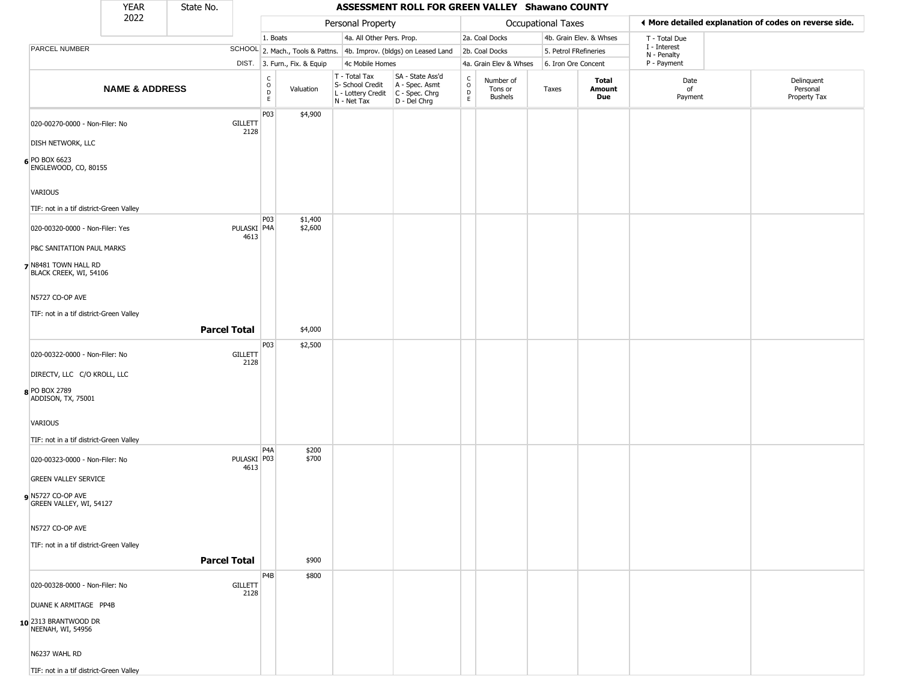|                                                               | <b>YEAR</b>               | State No.           |                        |                                   |                              |                                                                        |                                                                        |                         | ASSESSMENT ROLL FOR GREEN VALLEY Shawano COUNTY |                    |                         |                             |                                                       |  |  |  |
|---------------------------------------------------------------|---------------------------|---------------------|------------------------|-----------------------------------|------------------------------|------------------------------------------------------------------------|------------------------------------------------------------------------|-------------------------|-------------------------------------------------|--------------------|-------------------------|-----------------------------|-------------------------------------------------------|--|--|--|
|                                                               | 2022                      |                     |                        | Personal Property                 |                              |                                                                        |                                                                        |                         |                                                 | Occupational Taxes |                         |                             | ♦ More detailed explanation of codes on reverse side. |  |  |  |
|                                                               |                           |                     |                        | 1. Boats                          |                              | 4a. All Other Pers. Prop.                                              |                                                                        |                         | 2a. Coal Docks                                  |                    | 4b. Grain Elev. & Whses | T - Total Due               |                                                       |  |  |  |
| PARCEL NUMBER                                                 |                           |                     |                        |                                   |                              |                                                                        | SCHOOL 2. Mach., Tools & Pattns. 4b. Improv. (bldgs) on Leased Land    |                         | 2b. Coal Docks                                  |                    | 5. Petrol FRefineries   | I - Interest<br>N - Penalty |                                                       |  |  |  |
|                                                               |                           |                     |                        |                                   | DIST. 3. Furn., Fix. & Equip | 4c Mobile Homes                                                        |                                                                        |                         | 4a. Grain Elev & Whses                          |                    | 6. Iron Ore Concent     | P - Payment                 |                                                       |  |  |  |
|                                                               | <b>NAME &amp; ADDRESS</b> |                     |                        | $\frac{C}{O}$<br>D<br>$\mathsf E$ | Valuation                    | T - Total Tax<br>S- School Credit<br>L - Lottery Credit<br>N - Net Tax | SA - State Ass'd<br>A - Spec. Asmt<br>$C - Spec. Chrg$<br>D - Del Chrg | $\frac{C}{O}$<br>D<br>E | Number of<br>Tons or<br><b>Bushels</b>          | Taxes              | Total<br>Amount<br>Due  | Date<br>of<br>Payment       | Delinquent<br>Personal<br>Property Tax                |  |  |  |
| 020-00270-0000 - Non-Filer: No                                |                           |                     | <b>GILLETT</b><br>2128 | P03                               | \$4,900                      |                                                                        |                                                                        |                         |                                                 |                    |                         |                             |                                                       |  |  |  |
| DISH NETWORK, LLC                                             |                           |                     |                        |                                   |                              |                                                                        |                                                                        |                         |                                                 |                    |                         |                             |                                                       |  |  |  |
| 6 PO BOX 6623<br>ENGLEWOOD, CO, 80155                         |                           |                     |                        |                                   |                              |                                                                        |                                                                        |                         |                                                 |                    |                         |                             |                                                       |  |  |  |
| VARIOUS                                                       |                           |                     |                        |                                   |                              |                                                                        |                                                                        |                         |                                                 |                    |                         |                             |                                                       |  |  |  |
| TIF: not in a tif district-Green Valley                       |                           |                     |                        |                                   |                              |                                                                        |                                                                        |                         |                                                 |                    |                         |                             |                                                       |  |  |  |
| 020-00320-0000 - Non-Filer: Yes                               |                           |                     | PULASKI P4A<br>4613    | P03                               | \$1,400<br>\$2,600           |                                                                        |                                                                        |                         |                                                 |                    |                         |                             |                                                       |  |  |  |
| P&C SANITATION PAUL MARKS                                     |                           |                     |                        |                                   |                              |                                                                        |                                                                        |                         |                                                 |                    |                         |                             |                                                       |  |  |  |
| 7 N8481 TOWN HALL RD<br>BLACK CREEK, WI, 54106                |                           |                     |                        |                                   |                              |                                                                        |                                                                        |                         |                                                 |                    |                         |                             |                                                       |  |  |  |
| N5727 CO-OP AVE                                               |                           |                     |                        |                                   |                              |                                                                        |                                                                        |                         |                                                 |                    |                         |                             |                                                       |  |  |  |
| TIF: not in a tif district-Green Valley                       |                           |                     |                        |                                   |                              |                                                                        |                                                                        |                         |                                                 |                    |                         |                             |                                                       |  |  |  |
|                                                               |                           | <b>Parcel Total</b> |                        |                                   | \$4,000                      |                                                                        |                                                                        |                         |                                                 |                    |                         |                             |                                                       |  |  |  |
|                                                               |                           |                     |                        | P <sub>03</sub>                   | \$2,500                      |                                                                        |                                                                        |                         |                                                 |                    |                         |                             |                                                       |  |  |  |
| 020-00322-0000 - Non-Filer: No<br>DIRECTV, LLC C/O KROLL, LLC |                           |                     | <b>GILLETT</b><br>2128 |                                   |                              |                                                                        |                                                                        |                         |                                                 |                    |                         |                             |                                                       |  |  |  |
|                                                               |                           |                     |                        |                                   |                              |                                                                        |                                                                        |                         |                                                 |                    |                         |                             |                                                       |  |  |  |
| 8 PO BOX 2789<br>ADDISON, TX, 75001                           |                           |                     |                        |                                   |                              |                                                                        |                                                                        |                         |                                                 |                    |                         |                             |                                                       |  |  |  |
| VARIOUS                                                       |                           |                     |                        |                                   |                              |                                                                        |                                                                        |                         |                                                 |                    |                         |                             |                                                       |  |  |  |
| TIF: not in a tif district-Green Valley                       |                           |                     |                        |                                   |                              |                                                                        |                                                                        |                         |                                                 |                    |                         |                             |                                                       |  |  |  |
| 020-00323-0000 - Non-Filer: No                                |                           |                     | PULASKI P03<br>4613    | P <sub>4</sub> A                  | \$200<br>\$700               |                                                                        |                                                                        |                         |                                                 |                    |                         |                             |                                                       |  |  |  |
| <b>GREEN VALLEY SERVICE</b>                                   |                           |                     |                        |                                   |                              |                                                                        |                                                                        |                         |                                                 |                    |                         |                             |                                                       |  |  |  |
| $\rho$ N5727 CO-OP AVE<br>GREEN VALLEY, WI, 54127             |                           |                     |                        |                                   |                              |                                                                        |                                                                        |                         |                                                 |                    |                         |                             |                                                       |  |  |  |
| N5727 CO-OP AVE                                               |                           |                     |                        |                                   |                              |                                                                        |                                                                        |                         |                                                 |                    |                         |                             |                                                       |  |  |  |
| TIF: not in a tif district-Green Valley                       |                           |                     |                        |                                   |                              |                                                                        |                                                                        |                         |                                                 |                    |                         |                             |                                                       |  |  |  |
|                                                               |                           | <b>Parcel Total</b> |                        |                                   | \$900                        |                                                                        |                                                                        |                         |                                                 |                    |                         |                             |                                                       |  |  |  |
|                                                               |                           |                     |                        | P4B                               | \$800                        |                                                                        |                                                                        |                         |                                                 |                    |                         |                             |                                                       |  |  |  |
| 020-00328-0000 - Non-Filer: No                                |                           |                     | <b>GILLETT</b><br>2128 |                                   |                              |                                                                        |                                                                        |                         |                                                 |                    |                         |                             |                                                       |  |  |  |
| DUANE K ARMITAGE PP4B                                         |                           |                     |                        |                                   |                              |                                                                        |                                                                        |                         |                                                 |                    |                         |                             |                                                       |  |  |  |
| 10 2313 BRANTWOOD DR<br>NEENAH, WI, 54956                     |                           |                     |                        |                                   |                              |                                                                        |                                                                        |                         |                                                 |                    |                         |                             |                                                       |  |  |  |
| N6237 WAHL RD                                                 |                           |                     |                        |                                   |                              |                                                                        |                                                                        |                         |                                                 |                    |                         |                             |                                                       |  |  |  |

TIF: not in a tif district-Green Valley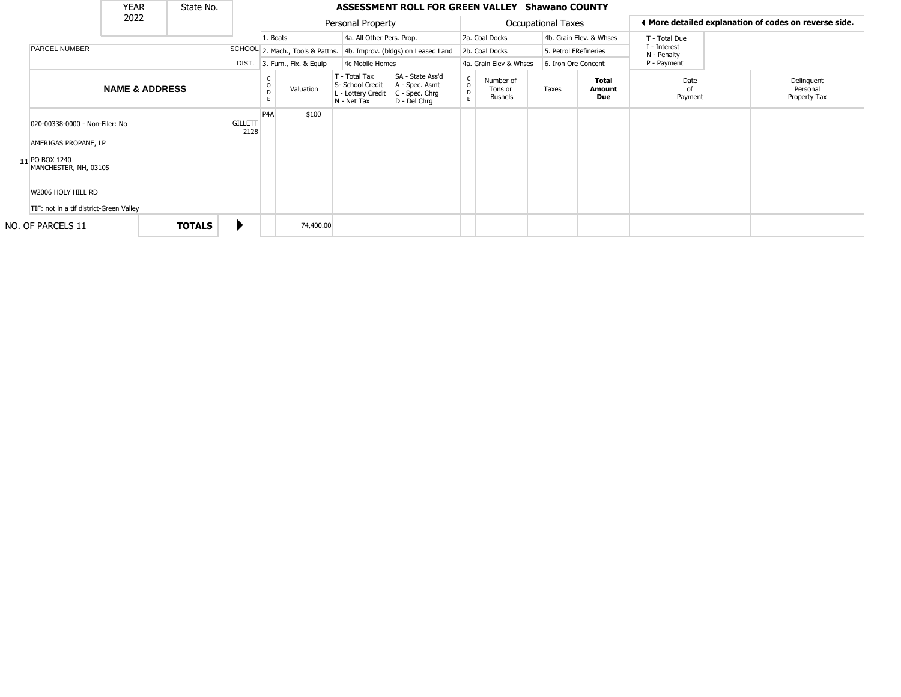|                                    | <b>YEAR</b>                                                                                                                      |      | State No. |                        |                        |                                                                        |                                                                      | ASSESSMENT ROLL FOR GREEN VALLEY Shawano COUNTY |                                        |                |                       |                               |                             |                                                       |  |                                        |
|------------------------------------|----------------------------------------------------------------------------------------------------------------------------------|------|-----------|------------------------|------------------------|------------------------------------------------------------------------|----------------------------------------------------------------------|-------------------------------------------------|----------------------------------------|----------------|-----------------------|-------------------------------|-----------------------------|-------------------------------------------------------|--|----------------------------------------|
|                                    | <b>PARCEL NUMBER</b><br>020-00338-0000 - Non-Filer: No                                                                           | 2022 |           |                        | Personal Property      |                                                                        |                                                                      |                                                 | <b>Occupational Taxes</b>              |                |                       |                               |                             | ♦ More detailed explanation of codes on reverse side. |  |                                        |
|                                    |                                                                                                                                  |      |           |                        | 1. Boats               |                                                                        | 4a. All Other Pers. Prop.                                            |                                                 |                                        | 2a. Coal Docks |                       |                               | 4b. Grain Elev. & Whses     | T - Total Due                                         |  | Delinquent<br>Personal<br>Property Tax |
|                                    |                                                                                                                                  |      |           |                        |                        |                                                                        | SCHOOL 2. Mach., Tools & Pattns. 4b. Improv. (bldgs) on Leased Land  |                                                 | 2b. Coal Docks                         |                | 5. Petrol FRefineries |                               | I - Interest<br>N - Penalty |                                                       |  |                                        |
|                                    |                                                                                                                                  |      |           | DIST.                  | 3. Furn., Fix. & Equip |                                                                        | 4c Mobile Homes                                                      |                                                 | 4a. Grain Elev & Whses                 |                |                       | 6. Iron Ore Concent           |                             | P - Payment                                           |  |                                        |
|                                    | <b>NAME &amp; ADDRESS</b>                                                                                                        |      |           |                        | Valuation              | T - Total Tax<br>S- School Credit<br>L - Lottery Credit<br>N - Net Tax | SA - State Ass'd<br>A - Spec. Asmt<br>C - Spec. Chrg<br>D - Del Chrq | $\begin{matrix} 0 \\ 0 \\ D \end{matrix}$<br>E  | Number of<br>Tons or<br><b>Bushels</b> |                | Taxes                 | <b>Total</b><br>Amount<br>Due | Date<br>ot<br>Payment       |                                                       |  |                                        |
|                                    | AMERIGAS PROPANE, LP<br>11 PO BOX 1240<br>MANCHESTER, NH, 03105<br>W2006 HOLY HILL RD<br>TIF: not in a tif district-Green Valley |      |           | <b>GILLETT</b><br>2128 | P <sub>4</sub> A       | \$100                                                                  |                                                                      |                                                 |                                        |                |                       |                               |                             |                                                       |  |                                        |
| <b>TOTALS</b><br>NO. OF PARCELS 11 |                                                                                                                                  |      | 74,400.00 |                        |                        |                                                                        |                                                                      |                                                 |                                        |                |                       |                               |                             |                                                       |  |                                        |